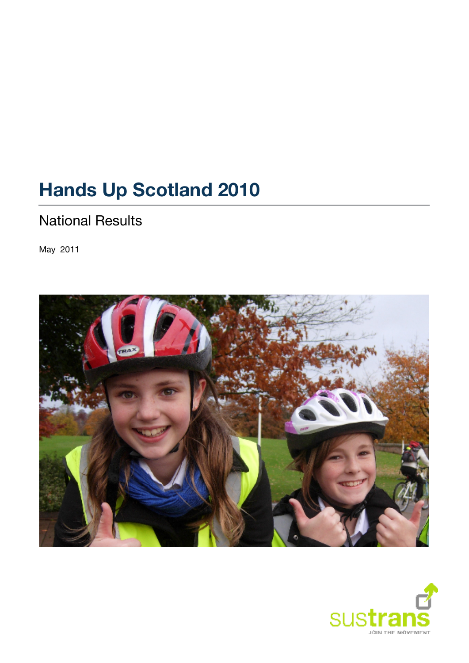# **Hands Up Scotland 2010**

# National Results

May 2011



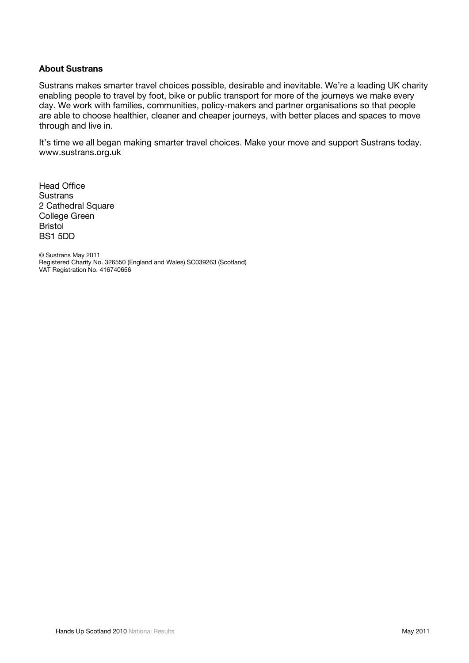#### **About Sustrans**

Sustrans makes smarter travel choices possible, desirable and inevitable. We're a leading UK charity enabling people to travel by foot, bike or public transport for more of the journeys we make every day. We work with families, communities, policy-makers and partner organisations so that people are able to choose healthier, cleaner and cheaper journeys, with better places and spaces to move through and live in.

It's time we all began making smarter travel choices. Make your move and support Sustrans today. www.sustrans.org.uk

Head Office **Sustrans** 2 Cathedral Square College Green Bristol BS1 5DD

© Sustrans May 2011 Registered Charity No. 326550 (England and Wales) SC039263 (Scotland) VAT Registration No. 416740656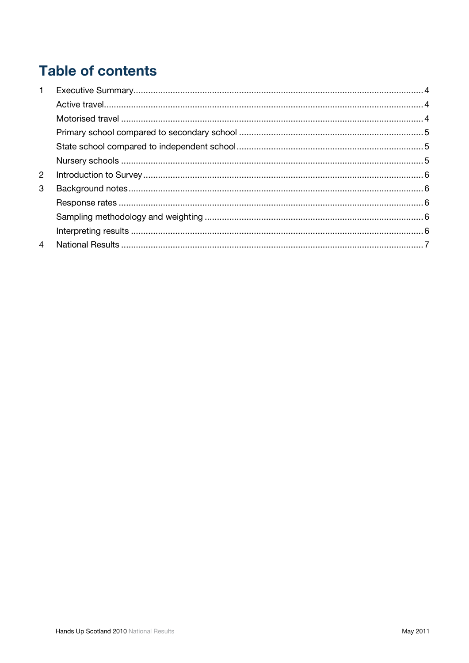# **Table of contents**

| $\mathbf 1$    |  |
|----------------|--|
|                |  |
|                |  |
|                |  |
|                |  |
|                |  |
| $\overline{2}$ |  |
| 3              |  |
|                |  |
|                |  |
|                |  |
| $\overline{4}$ |  |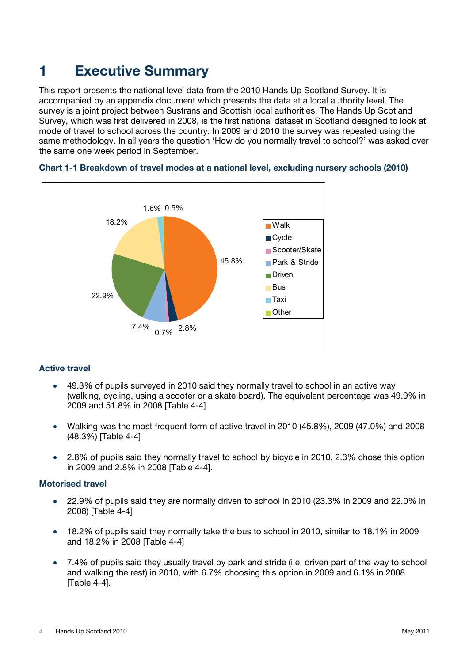# **1 Executive Summary**

This report presents the national level data from the 2010 Hands Up Scotland Survey. It is accompanied by an appendix document which presents the data at a local authority level. The survey is a joint project between Sustrans and Scottish local authorities. The Hands Up Scotland Survey, which was first delivered in 2008, is the first national dataset in Scotland designed to look at mode of travel to school across the country. In 2009 and 2010 the survey was repeated using the same methodology. In all years the question 'How do you normally travel to school?' was asked over the same one week period in September.





#### **Active travel**

- 49.3% of pupils surveyed in 2010 said they normally travel to school in an active way (walking, cycling, using a scooter or a skate board). The equivalent percentage was 49.9% in 2009 and 51.8% in 2008 [Table 4-4]
- Walking was the most frequent form of active travel in 2010 (45.8%), 2009 (47.0%) and 2008 (48.3%) [Table 4-4]
- 2.8% of pupils said they normally travel to school by bicycle in 2010, 2.3% chose this option in 2009 and 2.8% in 2008 [Table 4-4].

#### **Motorised travel**

- 22.9% of pupils said they are normally driven to school in 2010 (23.3% in 2009 and 22.0% in 2008) [Table 4-4]
- 18.2% of pupils said they normally take the bus to school in 2010, similar to 18.1% in 2009 and 18.2% in 2008 [Table 4-4]
- 7.4% of pupils said they usually travel by park and stride (i.e. driven part of the way to school and walking the rest) in 2010, with 6.7% choosing this option in 2009 and 6.1% in 2008 [Table 4-4].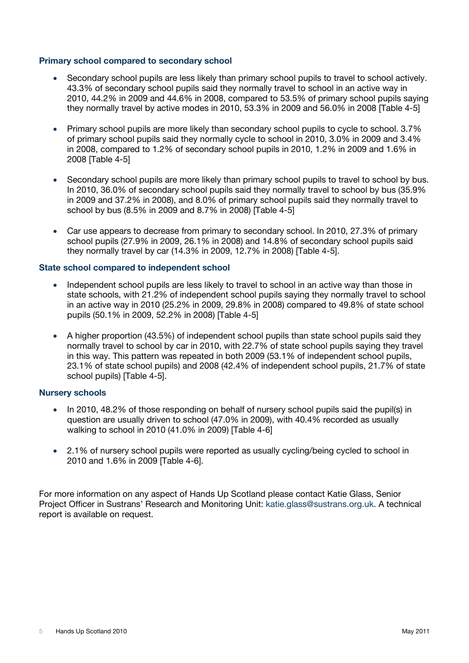#### **Primary school compared to secondary school**

- Secondary school pupils are less likely than primary school pupils to travel to school actively. 43.3% of secondary school pupils said they normally travel to school in an active way in 2010, 44.2% in 2009 and 44.6% in 2008, compared to 53.5% of primary school pupils saying they normally travel by active modes in 2010, 53.3% in 2009 and 56.0% in 2008  $\text{Table 4-5l}$
- Primary school pupils are more likely than secondary school pupils to cycle to school. 3.7% of primary school pupils said they normally cycle to school in 2010, 3.0% in 2009 and 3.4% in 2008, compared to 1.2% of secondary school pupils in 2010, 1.2% in 2009 and 1.6% in 2008 [Table 4-5]
- Secondary school pupils are more likely than primary school pupils to travel to school by bus. In 2010, 36.0% of secondary school pupils said they normally travel to school by bus (35.9% in 2009 and 37.2% in 2008), and 8.0% of primary school pupils said they normally travel to school by bus (8.5% in 2009 and 8.7% in 2008) [Table 4-5]
- Car use appears to decrease from primary to secondary school. In 2010, 27.3% of primary school pupils (27.9% in 2009, 26.1% in 2008) and 14.8% of secondary school pupils said they normally travel by car (14.3% in 2009, 12.7% in 2008) [Table 4-5].

#### **State school compared to independent school**

- Independent school pupils are less likely to travel to school in an active way than those in state schools, with 21.2% of independent school pupils saying they normally travel to school in an active way in 2010 (25.2% in 2009, 29.8% in 2008) compared to 49.8% of state school pupils (50.1% in 2009, 52.2% in 2008) [Table 4-5]
- A higher proportion (43.5%) of independent school pupils than state school pupils said they normally travel to school by car in 2010, with 22.7% of state school pupils saying they travel in this way. This pattern was repeated in both 2009 (53.1% of independent school pupils, 23.1% of state school pupils) and 2008 (42.4% of independent school pupils, 21.7% of state school pupils) [Table 4-5].

#### **Nursery schools**

- In 2010, 48.2% of those responding on behalf of nursery school pupils said the pupil(s) in question are usually driven to school (47.0% in 2009), with 40.4% recorded as usually walking to school in 2010 (41.0% in 2009) [Table 4-6]
- 2.1% of nursery school pupils were reported as usually cycling/being cycled to school in 2010 and 1.6% in 2009 [Table 4-6].

For more information on any aspect of Hands Up Scotland please contact Katie Glass, Senior Project Officer in Sustrans' Research and Monitoring Unit: katie.glass@sustrans.org.uk. A technical report is available on request.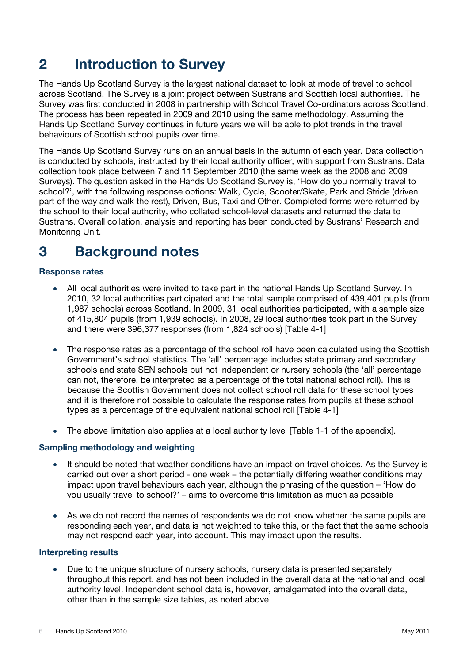# **2 Introduction to Survey**

The Hands Up Scotland Survey is the largest national dataset to look at mode of travel to school across Scotland. The Survey is a joint project between Sustrans and Scottish local authorities. The Survey was first conducted in 2008 in partnership with School Travel Co-ordinators across Scotland. The process has been repeated in 2009 and 2010 using the same methodology. Assuming the Hands Up Scotland Survey continues in future years we will be able to plot trends in the travel behaviours of Scottish school pupils over time.

The Hands Up Scotland Survey runs on an annual basis in the autumn of each year. Data collection is conducted by schools, instructed by their local authority officer, with support from Sustrans. Data collection took place between 7 and 11 September 2010 (the same week as the 2008 and 2009 Surveys). The question asked in the Hands Up Scotland Survey is, 'How do you normally travel to school?', with the following response options: Walk, Cycle, Scooter/Skate, Park and Stride (driven part of the way and walk the rest), Driven, Bus, Taxi and Other. Completed forms were returned by the school to their local authority, who collated school-level datasets and returned the data to Sustrans. Overall collation, analysis and reporting has been conducted by Sustrans' Research and Monitoring Unit.

# **3 Background notes**

#### **Response rates**

- All local authorities were invited to take part in the national Hands Up Scotland Survey. In 2010, 32 local authorities participated and the total sample comprised of 439,401 pupils (from 1,987 schools) across Scotland. In 2009, 31 local authorities participated, with a sample size of 415,804 pupils (from 1,939 schools). In 2008, 29 local authorities took part in the Survey and there were 396,377 responses (from 1,824 schools) [Table 4-1]
- The response rates as a percentage of the school roll have been calculated using the Scottish Government's school statistics. The 'all' percentage includes state primary and secondary schools and state SEN schools but not independent or nursery schools (the 'all' percentage can not, therefore, be interpreted as a percentage of the total national school roll). This is because the Scottish Government does not collect school roll data for these school types and it is therefore not possible to calculate the response rates from pupils at these school types as a percentage of the equivalent national school roll [Table 4-1]
- The above limitation also applies at a local authority level Table 1-1 of the appendix.

#### **Sampling methodology and weighting**

- It should be noted that weather conditions have an impact on travel choices. As the Survey is carried out over a short period - one week – the potentially differing weather conditions may impact upon travel behaviours each year, although the phrasing of the question – 'How do you usually travel to school?' – aims to overcome this limitation as much as possible
- As we do not record the names of respondents we do not know whether the same pupils are responding each year, and data is not weighted to take this, or the fact that the same schools may not respond each year, into account. This may impact upon the results.

#### **Interpreting results**

• Due to the unique structure of nursery schools, nursery data is presented separately throughout this report, and has not been included in the overall data at the national and local authority level. Independent school data is, however, amalgamated into the overall data, other than in the sample size tables, as noted above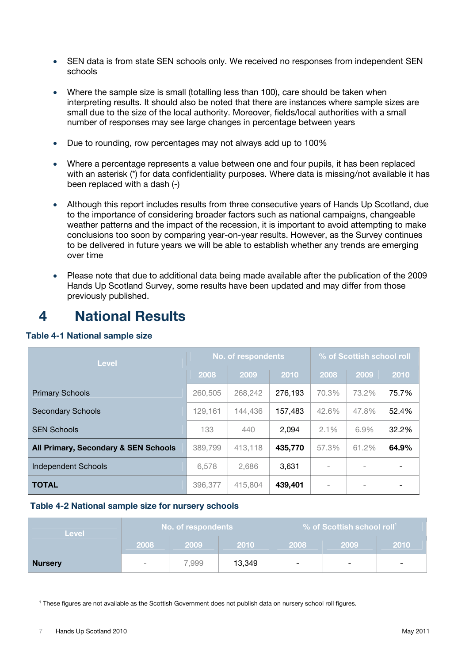- SEN data is from state SEN schools only. We received no responses from independent SEN schools
- Where the sample size is small (totalling less than 100), care should be taken when interpreting results. It should also be noted that there are instances where sample sizes are small due to the size of the local authority. Moreover, fields/local authorities with a small number of responses may see large changes in percentage between years
- Due to rounding, row percentages may not always add up to 100%
- Where a percentage represents a value between one and four pupils, it has been replaced with an asterisk (\*) for data confidentiality purposes. Where data is missing/not available it has been replaced with a dash (-)
- Although this report includes results from three consecutive years of Hands Up Scotland, due to the importance of considering broader factors such as national campaigns, changeable weather patterns and the impact of the recession, it is important to avoid attempting to make conclusions too soon by comparing year-on-year results. However, as the Survey continues to be delivered in future years we will be able to establish whether any trends are emerging over time
- Please note that due to additional data being made available after the publication of the 2009 Hands Up Scotland Survey, some results have been updated and may differ from those previously published.

# **4 National Results**

#### **Table 4-1 National sample size**

| <b>Level</b>                                    |         | <b>No. of respondents</b> |         | % of Scottish school roll |       |       |  |
|-------------------------------------------------|---------|---------------------------|---------|---------------------------|-------|-------|--|
|                                                 | 2008    | 2009                      | 2010    | 2008                      | 2009  | 2010  |  |
| <b>Primary Schools</b>                          | 260,505 | 268,242                   | 276,193 | 70.3%                     | 73.2% | 75.7% |  |
| <b>Secondary Schools</b>                        | 129,161 | 144,436                   | 157,483 | 42.6%                     | 47.8% | 52.4% |  |
| <b>SEN Schools</b>                              | 133     | 440                       | 2,094   | $2.1\%$                   | 6.9%  | 32.2% |  |
| <b>All Primary, Secondary &amp; SEN Schools</b> | 389,799 | 413,118                   | 435,770 | 57.3%                     | 61.2% | 64.9% |  |
| Independent Schools                             | 6,578   | 2,686                     | 3,631   | $\overline{\phantom{a}}$  |       |       |  |
| <b>TOTAL</b>                                    | 396,377 | 415.804                   | 439,401 | $\overline{\phantom{a}}$  |       |       |  |

#### **Table 4-2 National sample size for nursery schools**

| Level          |        | No. of respondents |        | $\%$ of Scottish school roll <sup>1</sup> |      |      |  |
|----------------|--------|--------------------|--------|-------------------------------------------|------|------|--|
|                | 2008   | 2009               | 2010   | 2008                                      | 2009 | 2010 |  |
| <b>Nursery</b> | $\sim$ | 7.999              | 13,349 | $\overline{\phantom{a}}$                  | -    |      |  |

 <sup>1</sup> These figures are not available as the Scottish Government does not publish data on nursery school roll figures.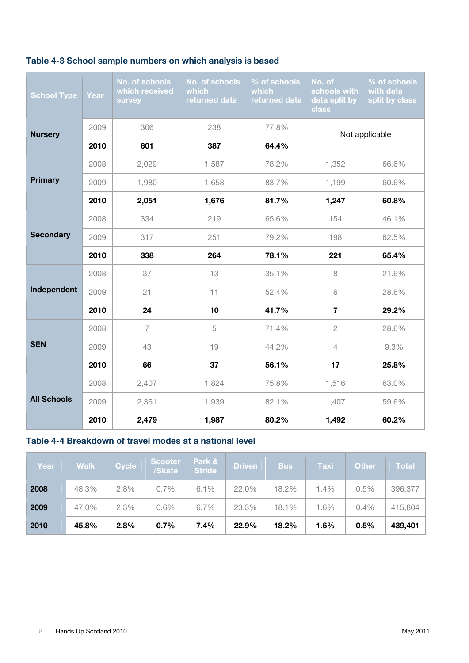### **Table 4-3 School sample numbers on which analysis is based**

| <b>School Type</b> | Year | No. of schools<br>which received<br>survey | No. of schools<br>which<br>returned data | % of schools<br><b>which</b><br>returned data | No. of<br>schools with<br>data split by<br>class | % of schools<br>with data<br>split by class |  |
|--------------------|------|--------------------------------------------|------------------------------------------|-----------------------------------------------|--------------------------------------------------|---------------------------------------------|--|
| <b>Nursery</b>     | 2009 | 306                                        | 238                                      | 77.8%                                         |                                                  |                                             |  |
|                    | 2010 | 601                                        | 387                                      | 64.4%                                         | Not applicable                                   |                                             |  |
|                    | 2008 | 2,029                                      | 1,587                                    | 78.2%                                         | 1,352                                            | 66.6%                                       |  |
| <b>Primary</b>     | 2009 | 1,980                                      | 1,658                                    | 83.7%                                         | 1,199                                            | 60.6%                                       |  |
|                    | 2010 | 2,051                                      | 1,676                                    | 81.7%                                         | 1,247                                            | 60.8%                                       |  |
|                    | 2008 | 334                                        | 219                                      | 65.6%                                         | 154                                              | 46.1%                                       |  |
| <b>Secondary</b>   | 2009 | 317                                        | 251                                      | 79.2%                                         | 198                                              | 62.5%                                       |  |
|                    | 2010 | 338                                        | 264                                      | 78.1%                                         | 221                                              | 65.4%                                       |  |
|                    | 2008 | 37                                         | 13                                       | 35.1%                                         | 8                                                | 21.6%                                       |  |
| Independent        | 2009 | 21                                         | 11                                       | 52.4%                                         | 6                                                | 28.6%                                       |  |
|                    | 2010 | 24                                         | 10                                       | 41.7%                                         | $\overline{7}$                                   | 29.2%                                       |  |
|                    | 2008 | $\overline{7}$                             | 5                                        | 71.4%                                         | $\overline{2}$                                   | 28.6%                                       |  |
| <b>SEN</b>         | 2009 | 43                                         | 19                                       | 44.2%                                         | $\overline{4}$                                   | 9.3%                                        |  |
|                    | 2010 | 66                                         | 37                                       | 56.1%                                         | 17                                               | 25.8%                                       |  |
|                    | 2008 | 2,407                                      | 1,824                                    | 75.8%                                         | 1,516                                            | 63.0%                                       |  |
| <b>All Schools</b> | 2009 | 2,361                                      | 1,939                                    | 82.1%                                         | 1,407                                            | 59.6%                                       |  |
|                    | 2010 | 2,479                                      | 1,987                                    | 80.2%                                         | 1,492                                            | 60.2%                                       |  |

### **Table 4-4 Breakdown of travel modes at a national level**

| Year | <b>Walk</b> | <b>Cycle</b> | <b>Scooter</b><br>/Skate | Park &<br><b>Stride</b> | <b>Driven</b> | <b>Bus</b> | <b>Taxi</b> | <b>Other</b> | <b>Total</b> |
|------|-------------|--------------|--------------------------|-------------------------|---------------|------------|-------------|--------------|--------------|
| 2008 | 48.3%       | 2.8%         | 0.7%                     | 6.1%                    | 22.0%         | 18.2%      | 1.4%        | 0.5%         | 396,377      |
| 2009 | 47.0%       | 2.3%         | 0.6%                     | 6.7%                    | 23.3%         | 18.1%      | 1.6%        | 0.4%         | 415,804      |
| 2010 | 45.8%       | 2.8%         | 0.7%                     | 7.4%                    | 22.9%         | 18.2%      | 1.6%        | 0.5%         | 439,401      |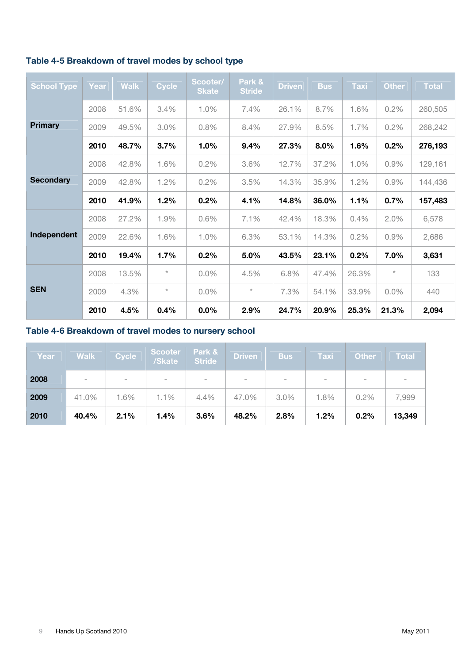|  | Table 4-5 Breakdown of travel modes by school type |  |  |  |  |  |
|--|----------------------------------------------------|--|--|--|--|--|
|--|----------------------------------------------------|--|--|--|--|--|

| <b>School Type</b> | Year | <b>Walk</b> | <b>Cycle</b> | Scooter/<br><b>Skate</b> | Park &<br><b>Stride</b> | <b>Driven</b> | <b>Bus</b> | <b>Taxi</b> | <b>Other</b> | <b>Total</b> |
|--------------------|------|-------------|--------------|--------------------------|-------------------------|---------------|------------|-------------|--------------|--------------|
|                    | 2008 | 51.6%       | 3.4%         | 1.0%                     | 7.4%                    | 26.1%         | 8.7%       | 1.6%        | 0.2%         | 260,505      |
| <b>Primary</b>     | 2009 | 49.5%       | 3.0%         | 0.8%                     | 8.4%                    | 27.9%         | 8.5%       | 1.7%        | 0.2%         | 268,242      |
|                    | 2010 | 48.7%       | 3.7%         | 1.0%                     | 9.4%                    | 27.3%         | 8.0%       | 1.6%        | 0.2%         | 276,193      |
|                    | 2008 | 42.8%       | 1.6%         | 0.2%                     | 3.6%                    | 12.7%         | 37.2%      | 1.0%        | 0.9%         | 129,161      |
| <b>Secondary</b>   | 2009 | 42.8%       | 1.2%         | 0.2%                     | 3.5%                    | 14.3%         | 35.9%      | 1.2%        | 0.9%         | 144,436      |
|                    | 2010 | 41.9%       | 1.2%         | 0.2%                     | 4.1%                    | 14.8%         | 36.0%      | 1.1%        | 0.7%         | 157,483      |
|                    | 2008 | 27.2%       | 1.9%         | 0.6%                     | 7.1%                    | 42.4%         | 18.3%      | 0.4%        | 2.0%         | 6,578        |
| Independent        | 2009 | 22.6%       | 1.6%         | 1.0%                     | 6.3%                    | 53.1%         | 14.3%      | 0.2%        | 0.9%         | 2,686        |
|                    | 2010 | 19.4%       | 1.7%         | 0.2%                     | 5.0%                    | 43.5%         | 23.1%      | 0.2%        | 7.0%         | 3,631        |
|                    | 2008 | 13.5%       | $\star$      | $0.0\%$                  | 4.5%                    | 6.8%          | 47.4%      | 26.3%       | $\star$      | 133          |
| <b>SEN</b>         | 2009 | 4.3%        | $\star$      | $0.0\%$                  | $^{\star}$              | 7.3%          | 54.1%      | 33.9%       | $0.0\%$      | 440          |
|                    | 2010 | 4.5%        | 0.4%         | 0.0%                     | 2.9%                    | 24.7%         | 20.9%      | 25.3%       | 21.3%        | 2,094        |

### **Table 4-6 Breakdown of travel modes to nursery school**

| Year | <b>Walk</b> | <b>Cycle</b>     | <b>Scooter</b><br>/Skate | Park &<br><b>Stride</b> | <b>Driven</b>            | <b>Bus</b>                     | Taxi | <b>Other</b> | <b>Total</b> |
|------|-------------|------------------|--------------------------|-------------------------|--------------------------|--------------------------------|------|--------------|--------------|
| 2008 | $\sim$      | $\hspace{0.1mm}$ | $\;$                     | $\,$                    | $\overline{\phantom{a}}$ | $\qquad \qquad =\qquad \qquad$ |      | $\;$         |              |
| 2009 | 41.0%       | 1.6%             | 1.1%                     | 4.4%                    | 47.0%                    | $3.0\%$                        | 1.8% | 0.2%         | 7,999        |
| 2010 | 40.4%       | 2.1%             | 1.4%                     | 3.6%                    | 48.2%                    | 2.8%                           | 1.2% | 0.2%         | 13,349       |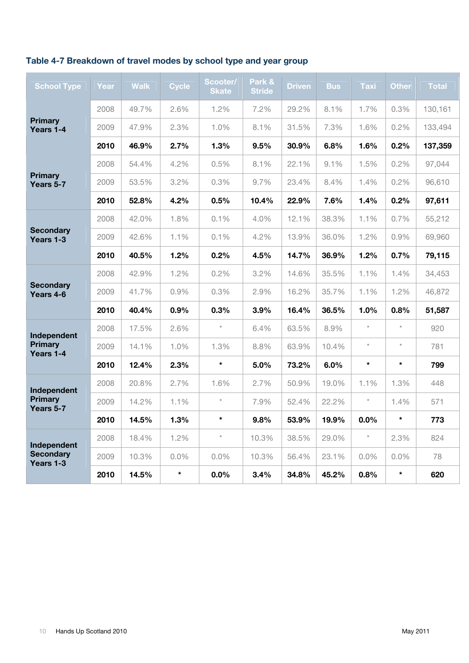### **Table 4-7 Breakdown of travel modes by school type and year group**

| <b>School Type</b>            | Year | <b>Walk</b> | <b>Cycle</b> | Scooter/<br><b>Skate</b> | Park &<br><b>Stride</b> | <b>Driven</b> | <b>Bus</b> | <b>Taxi</b> | <b>Other</b> | <b>Total</b> |
|-------------------------------|------|-------------|--------------|--------------------------|-------------------------|---------------|------------|-------------|--------------|--------------|
|                               | 2008 | 49.7%       | 2.6%         | 1.2%                     | 7.2%                    | 29.2%         | 8.1%       | 1.7%        | 0.3%         | 130,161      |
| <b>Primary</b><br>Years 1-4   | 2009 | 47.9%       | 2.3%         | 1.0%                     | 8.1%                    | 31.5%         | 7.3%       | 1.6%        | 0.2%         | 133,494      |
|                               | 2010 | 46.9%       | 2.7%         | 1.3%                     | 9.5%                    | 30.9%         | 6.8%       | 1.6%        | 0.2%         | 137,359      |
|                               | 2008 | 54.4%       | 4.2%         | 0.5%                     | 8.1%                    | 22.1%         | 9.1%       | 1.5%        | 0.2%         | 97,044       |
| <b>Primary</b><br>Years 5-7   | 2009 | 53.5%       | 3.2%         | 0.3%                     | 9.7%                    | 23.4%         | 8.4%       | 1.4%        | 0.2%         | 96,610       |
|                               | 2010 | 52.8%       | 4.2%         | 0.5%                     | 10.4%                   | 22.9%         | 7.6%       | 1.4%        | 0.2%         | 97,611       |
|                               | 2008 | 42.0%       | 1.8%         | 0.1%                     | 4.0%                    | 12.1%         | 38.3%      | 1.1%        | 0.7%         | 55,212       |
| <b>Secondary</b><br>Years 1-3 | 2009 | 42.6%       | 1.1%         | 0.1%                     | 4.2%                    | 13.9%         | 36.0%      | 1.2%        | 0.9%         | 69,960       |
|                               | 2010 | 40.5%       | 1.2%         | 0.2%                     | 4.5%                    | 14.7%         | 36.9%      | 1.2%        | 0.7%         | 79,115       |
|                               | 2008 | 42.9%       | 1.2%         | 0.2%                     | 3.2%                    | 14.6%         | 35.5%      | 1.1%        | 1.4%         | 34,453       |
| <b>Secondary</b><br>Years 4-6 | 2009 | 41.7%       | 0.9%         | 0.3%                     | 2.9%                    | 16.2%         | 35.7%      | 1.1%        | 1.2%         | 46,872       |
|                               | 2010 | 40.4%       | 0.9%         | 0.3%                     | 3.9%                    | 16.4%         | 36.5%      | 1.0%        | 0.8%         | 51,587       |
| Independent                   | 2008 | 17.5%       | 2.6%         | $\star$                  | 6.4%                    | 63.5%         | 8.9%       | $\star$     | $\star$      | 920          |
| <b>Primary</b><br>Years 1-4   | 2009 | 14.1%       | 1.0%         | 1.3%                     | 8.8%                    | 63.9%         | 10.4%      | $\star$     | $^\star$     | 781          |
|                               | 2010 | 12.4%       | 2.3%         | $\star$                  | 5.0%                    | 73.2%         | 6.0%       | $\star$     | $\star$      | 799          |
| Independent                   | 2008 | 20.8%       | 2.7%         | 1.6%                     | 2.7%                    | 50.9%         | 19.0%      | 1.1%        | 1.3%         | 448          |
| <b>Primary</b><br>Years 5-7   | 2009 | 14.2%       | 1.1%         | $\star$                  | 7.9%                    | 52.4%         | 22.2%      | $\star$     | 1.4%         | 571          |
|                               | 2010 | 14.5%       | 1.3%         | $\star$                  | 9.8%                    | 53.9%         | 19.9%      | 0.0%        | $\star$      | 773          |
| Independent                   | 2008 | 18.4%       | 1.2%         | $^\star$                 | 10.3%                   | 38.5%         | 29.0%      | $\star$     | 2.3%         | 824          |
| <b>Secondary</b><br>Years 1-3 | 2009 | 10.3%       | $0.0\%$      | $0.0\%$                  | 10.3%                   | 56.4%         | 23.1%      | $0.0\%$     | $0.0\%$      | 78           |
|                               | 2010 | 14.5%       | $\star$      | 0.0%                     | $3.4\%$                 | 34.8%         | 45.2%      | 0.8%        | $\star$      | 620          |